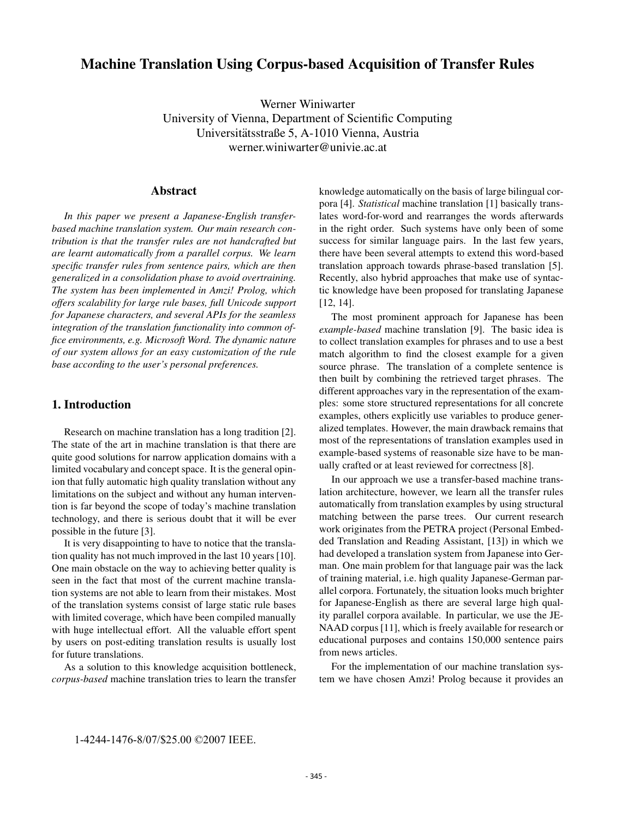# **Machine Translation Using Corpus-based Acquisition of Transfer Rules**

Werner Winiwarter University of Vienna, Department of Scientific Computing Universitätsstraße 5, A-1010 Vienna, Austria werner.winiwarter@univie.ac.at

#### **Abstract**

*In this paper we present a Japanese-English transferbased machine translation system. Our main research contribution is that the transfer rules are not handcrafted but are learnt automatically from a parallel corpus. We learn specific transfer rules from sentence pairs, which are then generalized in a consolidation phase to avoid overtraining. The system has been implemented in Amzi! Prolog, which offers scalability for large rule bases, full Unicode support for Japanese characters, and several APIs for the seamless integration of the translation functionality into common office environments, e.g. Microsoft Word. The dynamic nature of our system allows for an easy customization of the rule base according to the user's personal preferences.*

# **1. Introduction**

Research on machine translation has a long tradition [2]. The state of the art in machine translation is that there are quite good solutions for narrow application domains with a limited vocabulary and concept space. It is the general opinion that fully automatic high quality translation without any limitations on the subject and without any human intervention is far beyond the scope of today's machine translation technology, and there is serious doubt that it will be ever possible in the future [3].

It is very disappointing to have to notice that the translation quality has not much improved in the last 10 years [10]. One main obstacle on the way to achieving better quality is seen in the fact that most of the current machine translation systems are not able to learn from their mistakes. Most of the translation systems consist of large static rule bases with limited coverage, which have been compiled manually with huge intellectual effort. All the valuable effort spent by users on post-editing translation results is usually lost for future translations.

As a solution to this knowledge acquisition bottleneck, *corpus-based* machine translation tries to learn the transfer

knowledge automatically on the basis of large bilingual corpora [4]. *Statistical* machine translation [1] basically translates word-for-word and rearranges the words afterwards in the right order. Such systems have only been of some success for similar language pairs. In the last few years, there have been several attempts to extend this word-based translation approach towards phrase-based translation [5]. Recently, also hybrid approaches that make use of syntactic knowledge have been proposed for translating Japanese [12, 14].

The most prominent approach for Japanese has been *example-based* machine translation [9]. The basic idea is to collect translation examples for phrases and to use a best match algorithm to find the closest example for a given source phrase. The translation of a complete sentence is then built by combining the retrieved target phrases. The different approaches vary in the representation of the examples: some store structured representations for all concrete examples, others explicitly use variables to produce generalized templates. However, the main drawback remains that most of the representations of translation examples used in example-based systems of reasonable size have to be manually crafted or at least reviewed for correctness [8].

In our approach we use a transfer-based machine translation architecture, however, we learn all the transfer rules automatically from translation examples by using structural matching between the parse trees. Our current research work originates from the PETRA project (Personal Embedded Translation and Reading Assistant, [13]) in which we had developed a translation system from Japanese into German. One main problem for that language pair was the lack of training material, i.e. high quality Japanese-German parallel corpora. Fortunately, the situation looks much brighter for Japanese-English as there are several large high quality parallel corpora available. In particular, we use the JE-NAAD corpus [11], which is freely available for research or educational purposes and contains 150,000 sentence pairs from news articles.

For the implementation of our machine translation system we have chosen Amzi! Prolog because it provides an

<sup>1-4244-1476-8/07/\$25.00 ©2007</sup> IEEE.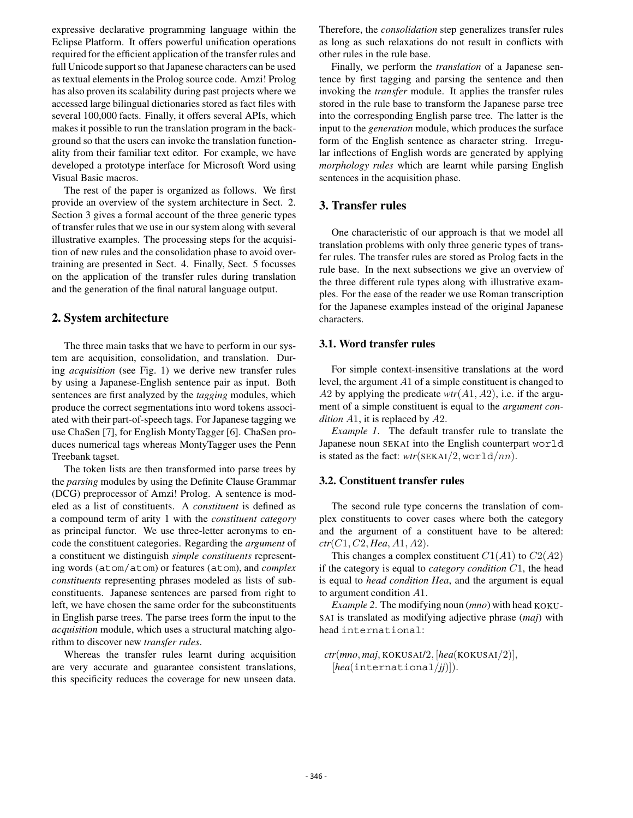expressive declarative programming language within the Eclipse Platform. It offers powerful unification operations required for the efficient application of the transfer rules and full Unicode support so that Japanese characters can be used as textual elements in the Prolog source code. Amzi! Prolog has also proven its scalability during past projects where we accessed large bilingual dictionaries stored as fact files with several 100,000 facts. Finally, it offers several APIs, which makes it possible to run the translation program in the background so that the users can invoke the translation functionality from their familiar text editor. For example, we have developed a prototype interface for Microsoft Word using Visual Basic macros.

The rest of the paper is organized as follows. We first provide an overview of the system architecture in Sect. 2. Section 3 gives a formal account of the three generic types of transfer rules that we use in our system along with several illustrative examples. The processing steps for the acquisition of new rules and the consolidation phase to avoid overtraining are presented in Sect. 4. Finally, Sect. 5 focusses on the application of the transfer rules during translation and the generation of the final natural language output.

### **2. System architecture**

The three main tasks that we have to perform in our system are acquisition, consolidation, and translation. During *acquisition* (see Fig. 1) we derive new transfer rules by using a Japanese-English sentence pair as input. Both sentences are first analyzed by the *tagging* modules, which produce the correct segmentations into word tokens associated with their part-of-speech tags. For Japanese tagging we use ChaSen [7], for English MontyTagger [6]. ChaSen produces numerical tags whereas MontyTagger uses the Penn Treebank tagset.

The token lists are then transformed into parse trees by the *parsing* modules by using the Definite Clause Grammar (DCG) preprocessor of Amzi! Prolog. A sentence is modeled as a list of constituents. A *constituent* is defined as a compound term of arity 1 with the *constituent category* as principal functor. We use three-letter acronyms to encode the constituent categories. Regarding the *argument* of a constituent we distinguish *simple constituents* representing words (atom/atom) or features (atom), and *complex constituents* representing phrases modeled as lists of subconstituents. Japanese sentences are parsed from right to left, we have chosen the same order for the subconstituents in English parse trees. The parse trees form the input to the *acquisition* module, which uses a structural matching algorithm to discover new *transfer rules*.

Whereas the transfer rules learnt during acquisition are very accurate and guarantee consistent translations, this specificity reduces the coverage for new unseen data.

Therefore, the *consolidation* step generalizes transfer rules as long as such relaxations do not result in conflicts with other rules in the rule base.

Finally, we perform the *translation* of a Japanese sentence by first tagging and parsing the sentence and then invoking the *transfer* module. It applies the transfer rules stored in the rule base to transform the Japanese parse tree into the corresponding English parse tree. The latter is the input to the *generation* module, which produces the surface form of the English sentence as character string. Irregular inflections of English words are generated by applying *morphology rules* which are learnt while parsing English sentences in the acquisition phase.

# **3. Transfer rules**

One characteristic of our approach is that we model all translation problems with only three generic types of transfer rules. The transfer rules are stored as Prolog facts in the rule base. In the next subsections we give an overview of the three different rule types along with illustrative examples. For the ease of the reader we use Roman transcription for the Japanese examples instead of the original Japanese characters.

#### **3.1. Word transfer rules**

For simple context-insensitive translations at the word level, the argument <sup>A</sup>1 of a simple constituent is changed to <sup>A</sup>2 by applying the predicate *wtr*(A1, A2), i.e. if the argument of a simple constituent is equal to the *argument condition* <sup>A</sup>1, it is replaced by <sup>A</sup>2.

*Example 1*. The default transfer rule to translate the Japanese noun SEKAI into the English counterpart world is stated as the fact:  $wtr(SEKAI/2, word a/nn)$ .

#### **3.2. Constituent transfer rules**

The second rule type concerns the translation of complex constituents to cover cases where both the category and the argument of a constituent have to be altered: *ctr*(C1, C2, *Hea*, A1, A2).

This changes a complex constituent  $C1(A1)$  to  $C2(A2)$ if the category is equal to *category condition* <sup>C</sup>1, the head is equal to *head condition Hea*, and the argument is equal to argument condition <sup>A</sup>1.

*Example 2*. The modifying noun (*mno*) with head KOKU-SAI is translated as modifying adjective phrase (*maj*) with head international:

*ctr*(*mno*, *maj*, KOKUSAI/2, [*hea*(KOKUSAI/2)], [*hea*(international/*jj*)]).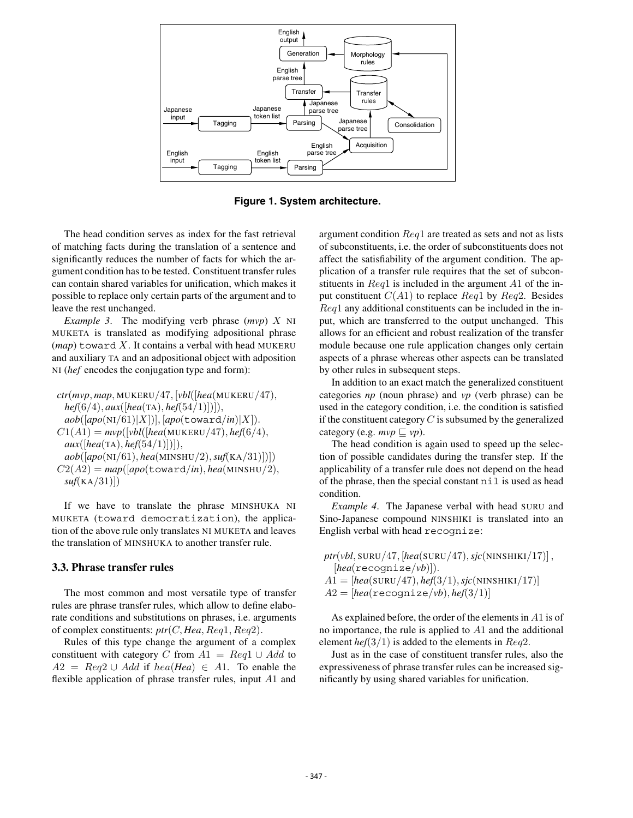

**Figure 1. System architecture.**

The head condition serves as index for the fast retrieval of matching facts during the translation of a sentence and significantly reduces the number of facts for which the argument condition has to be tested. Constituent transfer rules can contain shared variables for unification, which makes it possible to replace only certain parts of the argument and to leave the rest unchanged.

*Example 3*. The modifying verb phrase (*mvp*) X NI MUKETA is translated as modifying adpositional phrase  $(map)$  toward X. It contains a verbal with head MUKERU and auxiliary TA and an adpositional object with adposition NI (*hef* encodes the conjugation type and form):

*ctr*(*mvp*, *map*, MUKERU/47, [*vbl*([*hea*(MUKERU/47), *hef*(6/4), *aux*([*hea*(TA), *hef*(54/1)])]),  $aob([apo(NI/61)|X]), [apo(toward/in)|X]).$  $C1(A1) = mvp([vbl([hea(MUKERU/47), hef(6/4),$ *aux*([*hea*(TA), *hef*(54/1)])]), *aob*([*apo*(NI/61), *hea*(MINSHU/2),*suf*(KA/31)])])  $C2(A2) = map([apo(toward/in),hea(MINSHU/2),$ 

*suf*(KA/31)])

If we have to translate the phrase MINSHUKA NI MUKETA (toward democratization), the application of the above rule only translates NI MUKETA and leaves the translation of MINSHUKA to another transfer rule.

#### **3.3. Phrase transfer rules**

The most common and most versatile type of transfer rules are phrase transfer rules, which allow to define elaborate conditions and substitutions on phrases, i.e. arguments of complex constituents: *ptr*(C, *Hea*, Req1, Req2).

Rules of this type change the argument of a complex constituent with category C from  $A1 = Reg1 \cup Add$  to  $A2 = Reg2 \cup Add$  if  $hea(Hea) \in A1$ . To enable the flexible application of phrase transfer rules, input <sup>A</sup>1 and argument condition Req1 are treated as sets and not as lists of subconstituents, i.e. the order of subconstituents does not affect the satisfiability of the argument condition. The application of a transfer rule requires that the set of subconstituents in  $\text{Re}q1$  is included in the argument A1 of the input constituent  $C(A1)$  to replace  $Req1$  by  $Req2$ . Besides Req1 any additional constituents can be included in the input, which are transferred to the output unchanged. This allows for an efficient and robust realization of the transfer module because one rule application changes only certain aspects of a phrase whereas other aspects can be translated by other rules in subsequent steps.

In addition to an exact match the generalized constituent categories *np* (noun phrase) and *vp* (verb phrase) can be used in the category condition, i.e. the condition is satisfied if the constituent category  $C$  is subsumed by the generalized category (e.g.  $mvp \sqsubseteq vp$ ).

The head condition is again used to speed up the selection of possible candidates during the transfer step. If the applicability of a transfer rule does not depend on the head of the phrase, then the special constant nil is used as head condition.

*Example 4*. The Japanese verbal with head SURU and Sino-Japanese compound NINSHIKI is translated into an English verbal with head recognize:

 $ptr(vbl, \text{SURU}/47, [hea(\text{SURU}/47), sjc(\text{NINSHIKI}/17)]$ , [*hea*(recognize/*vb*)]).  $A1=[hea(SURU/47), hef(3/1), sjc(NINSHIKI/17)]$  $A2=[hea(\texttt{recognize}/vb), hef(3/1)]$ 

As explained before, the order of the elements in <sup>A</sup>1 is of no importance, the rule is applied to <sup>A</sup>1 and the additional element *hef* $(3/1)$  is added to the elements in *Req*2.

Just as in the case of constituent transfer rules, also the expressiveness of phrase transfer rules can be increased significantly by using shared variables for unification.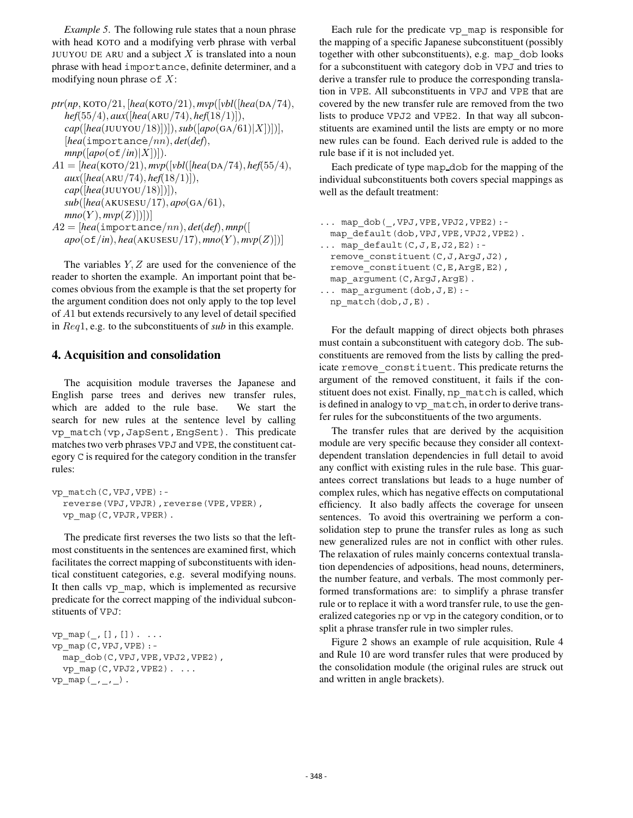*Example 5*. The following rule states that a noun phrase with head KOTO and a modifying verb phrase with verbal JUUYOU DE ARU and a subject  $X$  is translated into a noun phrase with head importance, definite determiner, and a modifying noun phrase of  $X$ :

*ptr*(*np*, KOTO/21, [*hea*(KOTO/21), *mvp*([*vbl*([*hea*(DA/74), *hef*(55/4), *aux*([*hea*(ARU/74), *hef*(18/1)]), *cap*([*hea*(JUUYOU/18)])]),*sub*([*apo*(GA/61)|X])])], [*hea*(importance/nn), *det*(*def*),  $mnp([apo(of/in)|X])$ ]).  $A1 = [hea(KOTO/21), mvp([vbl([hea(DA/74), hef(55/4),$ *aux*([*hea*(ARU/74), *hef*(18/1)]), *cap*([*hea*(JUUYOU/18)])]), *sub*([*hea*(AKUSESU/17), *apo*(GA/61),  $mno(Y), mvp(Z)]$ <sup>A</sup>2=[*hea*(importance/nn), *det*(*def*), *mnp*([  $apo(\sigma f/in), hea(AKUSESU/17), mno(Y), mvp(Z)])$ 

The variables  $Y, Z$  are used for the convenience of the reader to shorten the example. An important point that becomes obvious from the example is that the set property for the argument condition does not only apply to the top level of <sup>A</sup>1 but extends recursively to any level of detail specified in Req1, e.g. to the subconstituents of *sub* in this example.

# **4. Acquisition and consolidation**

The acquisition module traverses the Japanese and English parse trees and derives new transfer rules, which are added to the rule base. We start the search for new rules at the sentence level by calling vp\_match(vp,JapSent,EngSent). This predicate matches two verb phrases VPJ and VPE, the constituent category C is required for the category condition in the transfer rules:

```
vp_match(C,VPJ,VPE):-
  reverse(VPJ,VPJR),reverse(VPE,VPER),
  vp_map(C,VPJR,VPER).
```
The predicate first reverses the two lists so that the leftmost constituents in the sentences are examined first, which facilitates the correct mapping of subconstituents with identical constituent categories, e.g. several modifying nouns. It then calls vp\_map, which is implemented as recursive predicate for the correct mapping of the individual subconstituents of VPJ:

```
vp map( , [], []). ...
vp_map(C,VPJ,VPE):-
  map_dob(C,VPJ,VPE,VPJ2,VPE2),
  vp_map(C,VPJ2,VPE2). ...
vp_{map}(_{\_},\_).
```
Each rule for the predicate vp\_map is responsible for the mapping of a specific Japanese subconstituent (possibly together with other subconstituents), e.g. map\_dob looks for a subconstituent with category dob in VPJ and tries to derive a transfer rule to produce the corresponding translation in VPE. All subconstituents in VPJ and VPE that are covered by the new transfer rule are removed from the two lists to produce VPJ2 and VPE2. In that way all subconstituents are examined until the lists are empty or no more new rules can be found. Each derived rule is added to the rule base if it is not included yet.

Each predicate of type map dob for the mapping of the individual subconstituents both covers special mappings as well as the default treatment:

```
... map_dob(_,VPJ,VPE,VPJ2,VPE2):-
 map default(dob, VPJ, VPE, VPJ2, VPE2).
\ldots map default (C,J,E,J2,E2):-remove_constituent(C,J,ArgJ,J2),
 remove constituent (C, E, ArgE, E2),
 map_argument(C,ArgJ,ArgE).
... map_argument(dob,J,E):-
 np_match(dob,J,E).
```
For the default mapping of direct objects both phrases must contain a subconstituent with category dob. The subconstituents are removed from the lists by calling the predicate remove\_constituent. This predicate returns the argument of the removed constituent, it fails if the constituent does not exist. Finally, np\_match is called, which is defined in analogy to vp\_match, in order to derive transfer rules for the subconstituents of the two arguments.

The transfer rules that are derived by the acquisition module are very specific because they consider all contextdependent translation dependencies in full detail to avoid any conflict with existing rules in the rule base. This guarantees correct translations but leads to a huge number of complex rules, which has negative effects on computational efficiency. It also badly affects the coverage for unseen sentences. To avoid this overtraining we perform a consolidation step to prune the transfer rules as long as such new generalized rules are not in conflict with other rules. The relaxation of rules mainly concerns contextual translation dependencies of adpositions, head nouns, determiners, the number feature, and verbals. The most commonly performed transformations are: to simplify a phrase transfer rule or to replace it with a word transfer rule, to use the generalized categories np or vp in the category condition, or to split a phrase transfer rule in two simpler rules.

Figure 2 shows an example of rule acquisition, Rule 4 and Rule 10 are word transfer rules that were produced by the consolidation module (the original rules are struck out and written in angle brackets).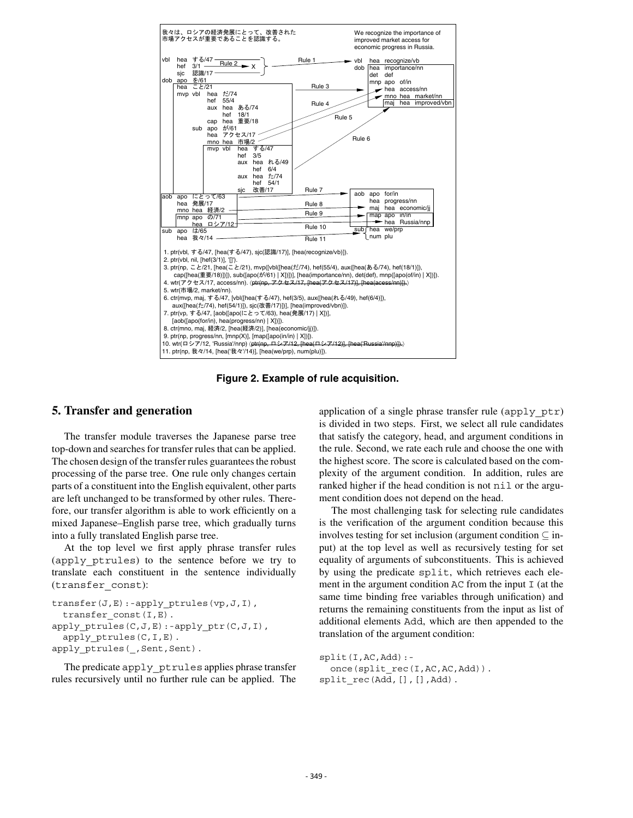

**Figure 2. Example of rule acquisition.**

# **5. Transfer and generation**

The transfer module traverses the Japanese parse tree top-down and searches for transfer rules that can be applied. The chosen design of the transfer rules guarantees the robust processing of the parse tree. One rule only changes certain parts of a constituent into the English equivalent, other parts are left unchanged to be transformed by other rules. Therefore, our transfer algorithm is able to work efficiently on a mixed Japanese–English parse tree, which gradually turns into a fully translated English parse tree.

At the top level we first apply phrase transfer rules (apply\_ptrules) to the sentence before we try to translate each constituent in the sentence individually (transfer\_const):

```
transfer(J, E): -apply ptrules(vp,J,I),
  transfer const(I,E).
apply_ptrules(C,J,E):-apply_ptr(C,J,I),
  apply ptrules(C,I,E).
apply ptrules( , Sent, Sent).
```
The predicate apply ptrules applies phrase transfer rules recursively until no further rule can be applied. The

application of a single phrase transfer rule (apply\_ptr) is divided in two steps. First, we select all rule candidates that satisfy the category, head, and argument conditions in the rule. Second, we rate each rule and choose the one with the highest score. The score is calculated based on the complexity of the argument condition. In addition, rules are ranked higher if the head condition is not nil or the argument condition does not depend on the head.

The most challenging task for selecting rule candidates is the verification of the argument condition because this involves testing for set inclusion (argument condition  $\subseteq$  input) at the top level as well as recursively testing for set equality of arguments of subconstituents. This is achieved by using the predicate split, which retrieves each element in the argument condition AC from the input I (at the same time binding free variables through unification) and returns the remaining constituents from the input as list of additional elements Add, which are then appended to the translation of the argument condition:

```
split(I,AC,Add):-
  once(split rec(I,AC,AC,Add)).
split rec(Add, [], [],Add).
```